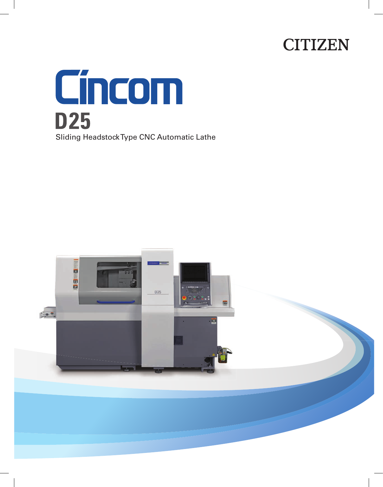# **CITIZEN**



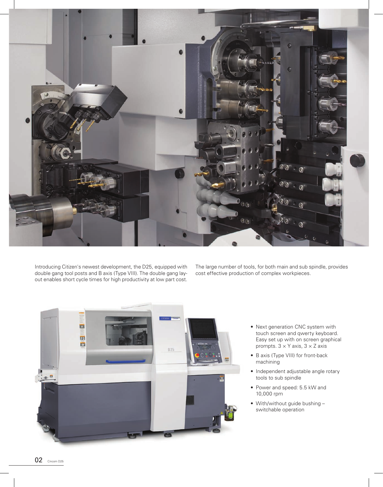

Introducing Citizen's newest development, the D25, equipped with double gang tool posts and B axis (Type VIII). The double gang layout enables short cycle times for high productivity at low part cost. The large number of tools, for both main and sub spindle, provides cost effective production of complex workpieces.



- Next generation CNC system with touch screen and qwerty keyboard. Easy set up with on screen graphical prompts.  $3 \times Y$  axis,  $3 \times Z$  axis
- B axis (Type VIII) for front-back machining
- Independent adjustable angle rotary tools to sub spindle
- Power and speed: 5.5 kW and 10,000 rpm
- With/without guide bushing switchable operation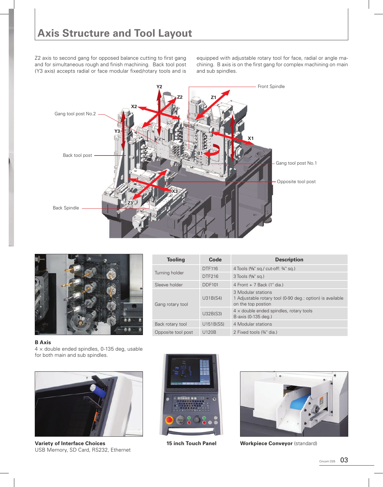Z2 axis to second gang for opposed balance cutting to first gang and for simultaneous rough and finish machining. Back tool post (Y3 axis) accepts radial or face modular fixed/rotary tools and is

equipped with adjustable rotary tool for face, radial or angle machining. B axis is on the first gang for complex machining on main and sub spindles.





| <b>Tooling</b>     | Code          | <b>Description</b>                                                                                    |
|--------------------|---------------|-------------------------------------------------------------------------------------------------------|
| Turning holder     | <b>DTF116</b> | 4 Tools (5/8" sq./ cut-off: 3/4" sq.)                                                                 |
|                    | DTF216        | 3 Tools (%" sq.)                                                                                      |
| Sleeve holder      | <b>DDF101</b> | 4 Front $+ 7$ Back (1" dia.)                                                                          |
| Gang rotary tool   | U31B(S4)      | 3 Modular stations<br>1 Adjustable rotary tool (0-90 deg.: option) is available<br>on the top postion |
|                    | U32B(S3)      | $4 \times$ double ended spindles, rotary tools<br>B-axis (0-135 deg.)                                 |
| Back rotary tool   | U151B(S5)     | 4 Modular stations                                                                                    |
| Opposite tool post | <b>U120B</b>  | 2 Fixed tools (34" dia.)                                                                              |

**B Axis**

 $4 \times$  double ended spindles, 0-135 deg, usable for both main and sub spindles.



**Variety of Interface Choices 15 inch Touch Panel Workpiece Conveyor** (standard) USB Memory, SD Card, RS232, Ethernet